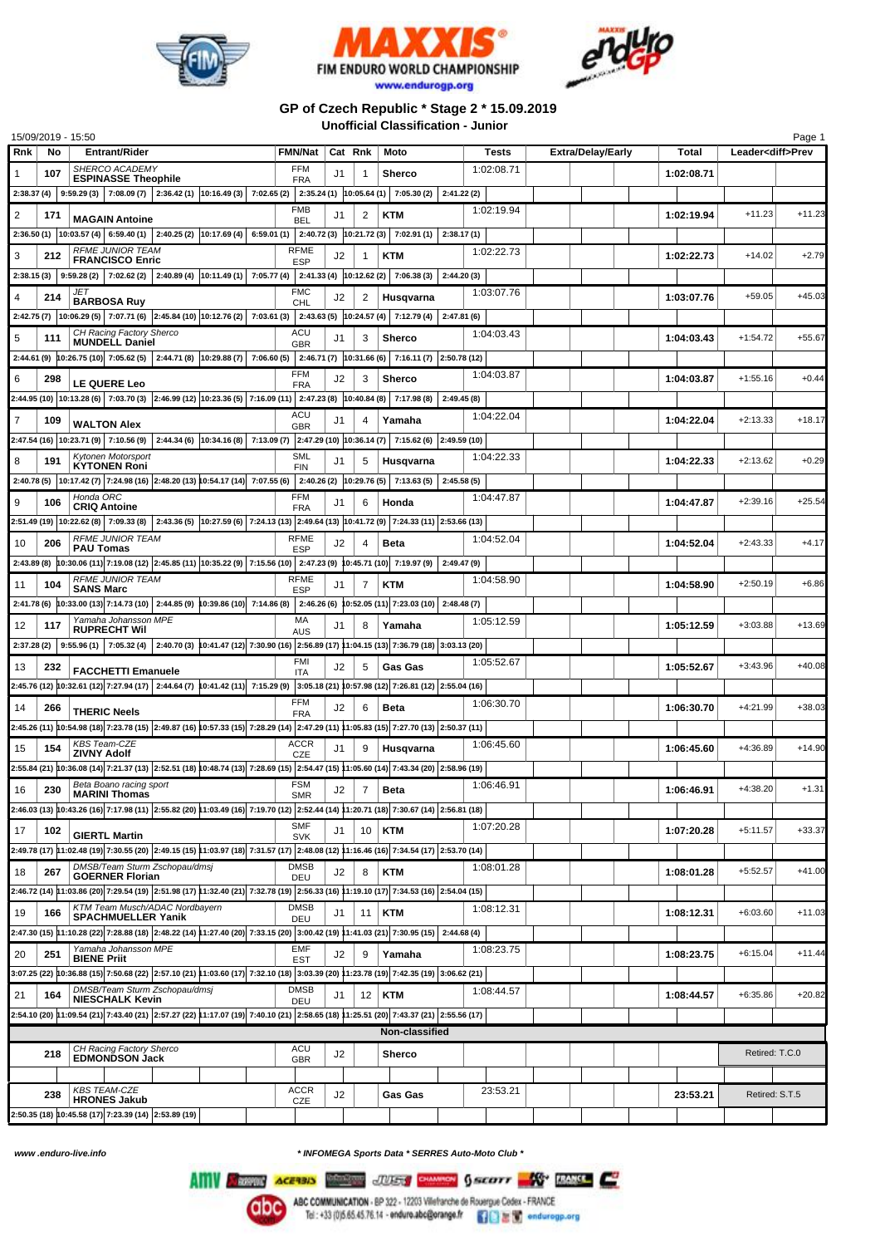





## **GP of Czech Republic \* Stage 2 \* 15.09.2019 Unofficial Classification - Junior**

| 15/09/2019 - 15:50             |                                                                                                                                                              |                          |         |                         |                                                   |             |                          |            |                          | Page 1         |  |  |
|--------------------------------|--------------------------------------------------------------------------------------------------------------------------------------------------------------|--------------------------|---------|-------------------------|---------------------------------------------------|-------------|--------------------------|------------|--------------------------|----------------|--|--|
| Rnk<br>No                      | <b>Entrant/Rider</b>                                                                                                                                         | FMN/Nat                  | Cat Rnk |                         | Moto                                              | Tests       | <b>Extra/Delay/Early</b> | Total      | Leader <diff>Prev</diff> |                |  |  |
| 107<br>1                       | SHERCO ACADEMY<br><b>ESPINASSE Theophile</b>                                                                                                                 | FFM<br><b>FRA</b>        | J1      | 1                       | Sherco                                            | 1:02:08.71  |                          | 1:02:08.71 |                          |                |  |  |
|                                | $2:38.37(4)$ $9:59.29(3)$ $7:08.09(7)$ $2:36.42(1)$ $10:16.49(3)$ $7:02.65(2)$ $2:35.24(1)$ $10:05.64(1)$ $7:05.30(2)$                                       |                          |         |                         |                                                   | 2:41.22(2)  |                          |            |                          |                |  |  |
|                                |                                                                                                                                                              | <b>FMB</b>               |         |                         |                                                   | 1:02:19.94  |                          |            |                          |                |  |  |
| $\overline{\mathbf{c}}$<br>171 | <b>MAGAIN Antoine</b>                                                                                                                                        | <b>BEL</b>               | J1      | 2                       | KTM                                               |             |                          | 1:02:19.94 | $+11.23$                 | $+11.23$       |  |  |
|                                | 2:36.50 (1) $ 10:03.57(4) $ 6:59.40 (1) $ 2:40.25(2) $ 10:17.69 (4) 6:59.01 (1)                                                                              |                          |         |                         | $2:40.72(3)$ 10:21.72(3) 7:02.91(1)               | 2:38.17(1)  |                          |            |                          |                |  |  |
| 3<br>212                       | <b>RFME JUNIOR TEAM</b><br><b>FRANCISCO Enric</b>                                                                                                            | RFME<br><b>ESP</b>       | J2      | 1                       | KTM                                               | 1:02:22.73  |                          | 1:02:22.73 | $+14.02$                 | $+2.79$        |  |  |
|                                | $2:38.15(3)$   $9:59.28(2)$   $7:02.62(2)$   $2:40.89(4)$   $10:11.49(1)$   $7:05.77(4)$   $2:41.33(4)$   $10:12.62(2)$   $7:06.38(3)$                       |                          |         |                         |                                                   | 2:44.20(3)  |                          |            |                          |                |  |  |
|                                | JET                                                                                                                                                          | <b>FMC</b>               |         |                         |                                                   | 1:03:07.76  |                          | 1:03:07.76 | $+59.05$                 | $+45.03$       |  |  |
| 4<br>214                       | <b>BARBOSA Ruy</b>                                                                                                                                           | <b>CHL</b>               | J2      | $\overline{\mathbf{c}}$ | Husqvarna                                         |             |                          |            |                          |                |  |  |
|                                | 2:42.75 (7) 10:06.29 (5) 7:07.71 (6) 2:45.84 (10) 10:12.76 (2) 7:03.61 (3) 2:43.63 (5) 10:24.57 (4) 7:12.79 (4)                                              |                          |         |                         |                                                   | 2:47.81(6)  |                          |            |                          |                |  |  |
| 5<br>111                       | CH Racing Factory Sherco<br><b>MUNDELL Daniel</b>                                                                                                            | ACU<br><b>GBR</b>        | J1      | 3                       | <b>Sherco</b>                                     | 1:04:03.43  |                          | 1:04:03.43 | $+1:54.72$               | $+55.67$       |  |  |
|                                | 2:44.61 (9) $ 10:26.75(10) $ 7:05.62 (5) $ 2:44.71(8) 10:29.88(7) 7:06.60(5) $                                                                               |                          |         |                         | 2:46.71 (7) 10:31.66 (6) 7:16.11 (7) 2:50.78 (12) |             |                          |            |                          |                |  |  |
| 6<br>298                       |                                                                                                                                                              | <b>FFM</b>               | J2      | 3                       | <b>Sherco</b>                                     | 1:04:03.87  |                          | 1:04:03.87 | $+1:55.16$               | $+0.44$        |  |  |
|                                | <b>LE QUERE Leo</b>                                                                                                                                          | <b>FRA</b>               |         |                         |                                                   |             |                          |            |                          |                |  |  |
|                                | 2:44.95 (10) 10:13.28 (6) 7:03.70 (3) 2:46.99 (12) 10:23.36 (5) 7:16.09 (11) 2:47.23 (8) 10:40.84 (8) 7:17.98 (8)                                            |                          |         |                         |                                                   | 2:49.45(8)  |                          |            |                          |                |  |  |
| $\overline{7}$<br>109          | <b>WALTON Alex</b>                                                                                                                                           | ACU<br><b>GBR</b>        | J1      | 4                       | Yamaha                                            | 1:04:22.04  |                          | 1:04:22.04 | $+2:13.33$               | $+18.17$       |  |  |
|                                | 2:47.54 (16) 10:23.71 (9) 7:10.56 (9) 2:44.34 (6) 10:34.16 (8) 7:13.09 (7) 2:47.29 (10) 10:36.14 (7) 7:15.62 (6) 2:49.59 (10)                                |                          |         |                         |                                                   |             |                          |            |                          |                |  |  |
| 191<br>8                       | Kytonen Motorsport                                                                                                                                           | <b>SML</b>               | J1      | 5                       | Husqvarna                                         | 1:04:22.33  |                          | 1:04:22.33 | $+2:13.62$               | $+0.29$        |  |  |
|                                | <b>KYTONEN Roni</b>                                                                                                                                          | <b>FIN</b>               |         |                         |                                                   |             |                          |            |                          |                |  |  |
|                                | 2:40.78 (5) 10:17.42 (7) 7:24.98 (16) 2:48.20 (13) 10:54.17 (14) 7:07.55 (6) 2:40.26 (2) 10:29.76 (5) 7:13.63 (5)<br>Honda ORC                               |                          |         |                         |                                                   | 2:45.58(5)  |                          |            |                          |                |  |  |
| 9<br>106                       | <b>CRIQ Antoine</b>                                                                                                                                          | FFM<br><b>FRA</b>        | J1      | 6                       | Honda                                             | 1:04:47.87  |                          | 1:04:47.87 | $+2:39.16$               | $+25.54$       |  |  |
|                                | 2:51.49 (19)   10:22.62 (8)   7:09.33 (8)   2:43.36 (5)  10:27.59 (6)   7:24.13 (13)   2:49.64 (13)   10:41.72 (9)   7:24.33 (11)   2:53.66 (13)             |                          |         |                         |                                                   |             |                          |            |                          |                |  |  |
| 10<br>206                      | <b>RFME JUNIOR TEAM</b><br><b>PAU Tomas</b>                                                                                                                  | <b>RFME</b>              | J2      | 4                       | <b>Beta</b>                                       | 1:04:52.04  |                          | 1:04:52.04 | $+2:43.33$               | $+4.17$        |  |  |
|                                | 2:43.89 (8) 10:30.06 (11) 7:19.08 (12) 2:45.85 (11) 10:35.22 (9) 7:15.56 (10) 2:47.23 (9) 10:45.71 (10) 7:19.97 (9)                                          | <b>ESP</b>               |         |                         |                                                   | 2:49.47 (9) |                          |            |                          |                |  |  |
|                                | <b>RFME JUNIOR TEAM</b>                                                                                                                                      | RFME                     |         |                         |                                                   | 1:04:58.90  |                          |            |                          |                |  |  |
| 104<br>11                      | <b>SANS Marc</b>                                                                                                                                             | <b>ESP</b>               | J1      | 7                       | KTM                                               |             |                          | 1:04:58.90 | $+2:50.19$               | $+6.86$        |  |  |
|                                | 2:41.78 (6) 10:33.00 (13) 7:14.73 (10) 2:44.85 (9) 10:39.86 (10) 7:14.86 (8) 2:46.26 (6) 10:52.05 (11) 7:23.03 (10) 2:48.48 (7)                              |                          |         |                         |                                                   |             |                          |            |                          |                |  |  |
| 12<br>117                      | Yamaha Johansson MPE<br><b>RUPRECHT WII</b>                                                                                                                  | МA<br><b>AUS</b>         | J1      | 8                       | Yamaha                                            | 1:05:12.59  |                          | 1:05:12.59 | $+3:03.88$               | $+13.69$       |  |  |
|                                | 2:37.28 (2)   9:55.96 (1)   7:05.32 (4)   2:40.70 (3)   0:41.47 (12)  7:30.90 (16)   2:56.89 (17)   1:04.15 (13)  7:36.79 (18)   3:03.13 (20)                |                          |         |                         |                                                   |             |                          |            |                          |                |  |  |
|                                |                                                                                                                                                              | <b>FMI</b>               |         |                         |                                                   | 1:05:52.67  |                          |            |                          |                |  |  |
| 13<br>232                      | <b>FACCHETTI Emanuele</b>                                                                                                                                    | <b>ITA</b>               | J2      | 5                       | <b>Gas Gas</b>                                    |             |                          | 1:05:52.67 | $+3:43.96$               | $+40.08$       |  |  |
|                                | 2:45.76 (12) 10:32.61 (12) 7:27.94 (17) 2:44.64 (7) 10:41.42 (11) 7:15.29 (9) 3:05.18 (21) 10:57.98 (12) 7:26.81 (12) 2:55.04 (16)                           |                          |         |                         |                                                   |             |                          |            |                          |                |  |  |
| 14<br>266                      | <b>THERIC Neels</b>                                                                                                                                          | <b>FFM</b><br><b>FRA</b> | J2      | 6                       | <b>Beta</b>                                       | 1:06:30.70  |                          | 1:06:30.70 | +4:21.99                 | $+38.03$       |  |  |
|                                | 2:45.26 (11) 10:54.98 (18) 7:23.78 (15) 2:49.87 (16) 10:57.33 (15) 7:28.29 (14) 2:47.29 (11) 11:05.83 (15) 7:27.70 (13) 2:50.37 (11)                         |                          |         |                         |                                                   |             |                          |            |                          |                |  |  |
| 15<br>154                      | <b>KBS Team-CZE</b>                                                                                                                                          | ACCR                     | J1      | 9                       | Husqvarna                                         | 1:06:45.60  |                          | 1:06:45.60 | $+4:36.89$               | $+14.90$       |  |  |
|                                | <b>ZIVNY Adolf</b>                                                                                                                                           | CZE                      |         |                         |                                                   |             |                          |            |                          |                |  |  |
|                                | 2:55.84 (21) 10:36.08 (14) 7:21.37 (13) 2:52.51 (18) 10:48.74 (13) 7:28.69 (15) 2:54.47 (15) 11:05.60 (14) 7:43.34 (20) 2:58.96 (19)                         |                          |         |                         |                                                   |             |                          |            |                          |                |  |  |
| 230<br>16                      | Beta Boano racing sport<br><b>MARINI Thomas</b>                                                                                                              | <b>FSM</b><br><b>SMR</b> | J2      | $\overline{7}$          | <b>Beta</b>                                       | 1:06:46.91  |                          | 1:06:46.91 | $+4:38.20$               | $+1.31$        |  |  |
|                                | 2:46.03 (13) 10:43.26 (16) 7:17.98 (11) 2:55.82 (20) 11:03.49 (16) 7:19.70 (12) 2:52.44 (14) 11:20.71 (18) 7:30.67 (14) 2:56.81 (18)                         |                          |         |                         |                                                   |             |                          |            |                          |                |  |  |
| 17<br>102                      |                                                                                                                                                              | <b>SMF</b>               | J1      | 10                      | <b>KTM</b>                                        | 1:07:20.28  |                          | 1:07:20.28 | $+5:11.57$               | $+33.37$       |  |  |
|                                | <b>GIERTL Martin</b><br>2:49.78 (17) 11:02.48 (19) 7:30.55 (20) 2:49.15 (15) 11:03.97 (18) 7:31.57 (17) 2:48.08 (12) 11:16.46 (16) 7:34.54 (17) 2:53.70 (14) | <b>SVK</b>               |         |                         |                                                   |             |                          |            |                          |                |  |  |
|                                | DMSB/Team Sturm Zschopau/dmsj                                                                                                                                | <b>DMSB</b>              |         |                         |                                                   | 1:08:01.28  |                          |            |                          |                |  |  |
| 18<br>267                      | <b>GOERNER Florian</b>                                                                                                                                       | DEU                      | J2      | 8                       | <b>KTM</b>                                        |             |                          | 1:08:01.28 | $+5:52.57$               | $+41.00$       |  |  |
|                                | 2:46.72 (14) 11:03.86 (20) 7:29.54 (19) 2:51.98 (17) 11:32.40 (21) 7:32.78 (19) 2:56.33 (16) 11:19.10 (17) 7:34.53 (16) 2:54.04 (15)                         |                          |         |                         |                                                   |             |                          |            |                          |                |  |  |
| 19<br>166                      | KTM Team Musch/ADAC Nordbayern<br><b>SPACHMUELLER Yanik</b>                                                                                                  | <b>DMSB</b><br>DEU       | J1      | 11                      | <b>KTM</b>                                        | 1:08:12.31  |                          | 1:08:12.31 | $+6:03.60$               | $+11.03$       |  |  |
|                                | 2:47.30 (15) 11:10.28 (22) 7:28.88 (18) 2:48.22 (14) 11:27.40 (20) 7:33.15 (20) 3:00.42 (19) 11:41.03 (21) 7:30.95 (15) 2:44.68 (4)                          |                          |         |                         |                                                   |             |                          |            |                          |                |  |  |
|                                | Yamaha Johansson MPE                                                                                                                                         | <b>EMF</b>               |         |                         |                                                   | 1:08:23.75  |                          |            |                          |                |  |  |
| 20<br>251                      | <b>BIENE Priit</b>                                                                                                                                           | <b>EST</b>               | J2      | 9                       | Yamaha                                            |             |                          | 1:08:23.75 | $+6:15.04$               | $+11.44$       |  |  |
|                                | 3:07.25 (22) 10:36.88 (15) 7:50.68 (22) 2:57.10 (21) 11:03.60 (17) 7:32.10 (18) 3:03.39 (20) 11:23.78 (19) 7:42.35 (19) 3:06.62 (21)                         |                          |         |                         |                                                   |             |                          |            |                          |                |  |  |
| 21<br>164                      | DMSB/Team Sturm Zschopau/dmsj<br><b>NIESCHALK Kevin</b>                                                                                                      | <b>DMSB</b><br>DEU       | J1      | 12                      | KTM                                               | 1:08:44.57  |                          | 1:08:44.57 | $+6:35.86$               | $+20.82$       |  |  |
|                                | 2:54.10 (20) 11:09.54 (21) 7:43.40 (21) 2:57.27 (22) 11:17.07 (19) 7:40.10 (21) 2:58.65 (18) 11:25.51 (20) 7:43.37 (21) 2:55.56 (17)                         |                          |         |                         |                                                   |             |                          |            |                          |                |  |  |
| Non-classified                 |                                                                                                                                                              |                          |         |                         |                                                   |             |                          |            |                          |                |  |  |
| 218                            | CH Racing Factory Sherco                                                                                                                                     | ACU                      |         |                         |                                                   |             |                          |            | Retired: T.C.0           |                |  |  |
|                                | <b>EDMONDSON Jack</b>                                                                                                                                        | <b>GBR</b>               | J2      |                         | Sherco                                            |             |                          |            |                          |                |  |  |
|                                |                                                                                                                                                              |                          |         |                         |                                                   |             |                          |            |                          |                |  |  |
| 238                            | <b>KBS TEAM-CZE</b><br><b>HRONES Jakub</b>                                                                                                                   | ACCR<br>CZE              | J2      |                         | <b>Gas Gas</b>                                    | 23:53.21    |                          | 23:53.21   |                          | Retired: S.T.5 |  |  |
|                                | 2:50.35 (18) 10:45.58 (17) 7:23.39 (14) 2:53.89 (19)                                                                                                         |                          |         |                         |                                                   |             |                          |            |                          |                |  |  |
|                                |                                                                                                                                                              |                          |         |                         |                                                   |             |                          |            |                          |                |  |  |

*www .enduro-live.info \* INFOMEGA Sports Data \* SERRES Auto-Moto Club \**

Alliv Change Access Manager JUSS CHANGE GALLERY DANCE CO

**rabc**